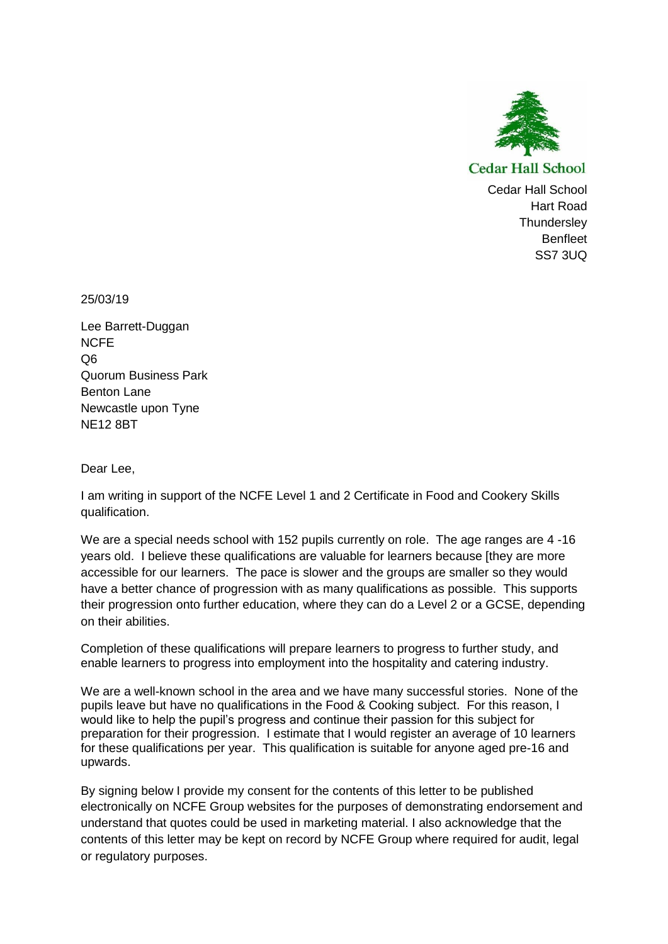

**Cedar Hall School** 

Cedar Hall School Hart Road **Thundersley Benfleet** SS7 3UQ

25/03/19

Lee Barrett-Duggan **NCFF** Q6 Quorum Business Park Benton Lane Newcastle upon Tyne NE12 8BT

Dear Lee,

I am writing in support of the NCFE Level 1 and 2 Certificate in Food and Cookery Skills qualification.

We are a special needs school with 152 pupils currently on role. The age ranges are 4 -16 years old. I believe these qualifications are valuable for learners because [they are more accessible for our learners. The pace is slower and the groups are smaller so they would have a better chance of progression with as many qualifications as possible. This supports their progression onto further education, where they can do a Level 2 or a GCSE, depending on their abilities.

Completion of these qualifications will prepare learners to progress to further study, and enable learners to progress into employment into the hospitality and catering industry.

We are a well-known school in the area and we have many successful stories. None of the pupils leave but have no qualifications in the Food & Cooking subject. For this reason, I would like to help the pupil's progress and continue their passion for this subject for preparation for their progression. I estimate that I would register an average of 10 learners for these qualifications per year. This qualification is suitable for anyone aged pre-16 and upwards.

By signing below I provide my consent for the contents of this letter to be published electronically on NCFE Group websites for the purposes of demonstrating endorsement and understand that quotes could be used in marketing material. I also acknowledge that the contents of this letter may be kept on record by NCFE Group where required for audit, legal or regulatory purposes.